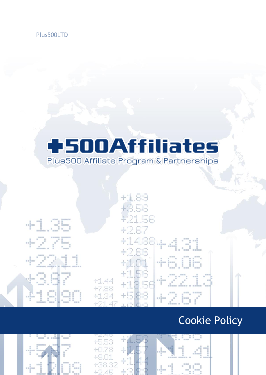

## **+500Affiliates** Plus500 Affiliate Program & Partnerships

|                                                                                                                                                                    |                                                                                                                                                                                                                                                                                                              | <b>CONTRACTOR</b> |
|--------------------------------------------------------------------------------------------------------------------------------------------------------------------|--------------------------------------------------------------------------------------------------------------------------------------------------------------------------------------------------------------------------------------------------------------------------------------------------------------|-------------------|
|                                                                                                                                                                    | 41.89<br>askes a non non                                                                                                                                                                                                                                                                                     |                   |
|                                                                                                                                                                    | <b>The State State</b><br>tha lain                                                                                                                                                                                                                                                                           |                   |
| $\overline{a}$<br>新規開<br>無く                                                                                                                                        | 421.56                                                                                                                                                                                                                                                                                                       |                   |
| and a street<br>景景期開開<br><b>TELEVISION</b><br>医眼镜麻醉 轉 腰膜膜 解膜膜                                                                                                      | 42.67                                                                                                                                                                                                                                                                                                        |                   |
| <b>89.00.00</b><br><b>HARD ROOM</b><br><b>小盆子语</b>                                                                                                                 | 41488<br>a <sup>nna</sup> n sal<br>÷<br>$-$<br><b>Contract Contract Contract</b><br>■ ■<br><br><b>BERTHY</b><br><b>Contract Communication</b><br>$\overline{u}$<br><b>L</b> and<br><b>All Service</b><br><b>CONTRACTOR</b> CONTRACTOR<br><b>Controller</b><br>$\mathbb{R}$<br>$\overline{11}$<br>一百四百 一四四百四四 |                   |
| 問題群 一 問罪罪<br>$-1.75$<br>一幕開開<br>442 D<br>冒票直<br>25. ISB<br>田田田田田<br><b>STATE</b> STATE<br>加                                                                        | 42.66<br>日日日<br>中耳県<br>高田田<br>$+2.01$<br>+Hi<br>.<br>田 祭器製造<br>■ 草 … ■                                                                                                                                                                                                                                       |                   |
| 新田期银路 百年新期加工期 西班牙马克 首任语说话<br>22 23 23<br>- 田田豊三 田田田田田<br><b>The Real Property</b><br>20 10 12 13<br>$\sim$<br><b>March 200</b><br>一<br>window<br>結核細胞<br>- 88<br>耳 | <b>Command State</b><br>and mon<br>41.56<br>加加田<br>四周四<br>$\mathbf{u}$<br>$\mathbb{R}$<br>.<br>59 89 88<br><b>前 </b><br><b>Contract State</b><br>na matsa                                                                                                                                                    |                   |
| 罰<br>$\overline{1}$<br>■■■ ■■■<br>言語書<br>一回                                                                                                                        | +1356<br>$\pm\mathbb{I},\mathbb{q}\mathbb{q}$<br>man ya<br>$\overline{\mathbf{u}}$<br>$-10^{-1}$<br><b>STATE AND RESIDENCE</b><br>$\mathbb{R}$<br>医精筋膜膜 精算装置器 计二级数据算机 计数据<br>+7.88                                                                                                                           |                   |
| T<br>- 第100 - 第100 - 第100 - 第100 - 第100 - 第100<br>.<br>$\mathbf{H}$<br>請願期間 田<br>前篇增用第<br>- 田田原 -<br>$\mathbb{R}$<br>E.                                            | NAME NE AND<br>49, 49, 49<br>45.88<br>$+1.34$<br>$\frac{1}{2}$ $\frac{1}{2}$ $\frac{1}{2}$<br><b>COMPANY</b><br>信用原因班<br><b>STATE</b><br>$1$ <sup>mm</sup><br>H<br>一貫<br>图                                                                                                                                   |                   |
| 一种原则: 一 期間間<br>新田地信用 前庭院                                                                                                                                           | $-10$<br>市<br>and the second second<br>$+21.47$<br>n meliham<br>一<br>HORNE BUNK<br><b>ILL MMHHH</b> . HHHH                                                                                                                                                                                                   |                   |

### Cookie Policy





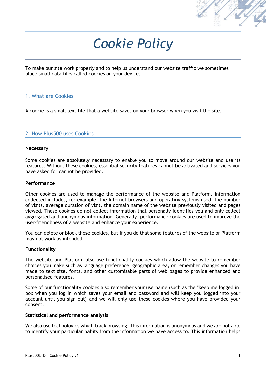

# *Cookie Policy*

To make our site work properly and to help us understand our website traffic we sometimes place small data files called cookies on your device.

#### 1. What are Cookies

A cookie is a small text file that a website saves on your browser when you visit the site.

#### 2. How Plus500 uses Cookies

#### **Necessary**

Some cookies are absolutely necessary to enable you to move around our website and use its features. Without these cookies, essential security features cannot be activated and services you have asked for cannot be provided.

#### **Performance**

Other cookies are used to manage the performance of the website and Platform. Information collected includes, for example, the Internet browsers and operating systems used, the number of visits, average duration of visit, the domain name of the website previously visited and pages viewed. These cookies do not collect information that personally identifies you and only collect aggregated and anonymous information. Generally, performance cookies are used to improve the user-friendliness of a website and enhance your experience.

You can delete or block these cookies, but if you do that some features of the website or Platform may not work as intended.

#### **Functionality**

The website and Platform also use functionality cookies which allow the website to remember choices you make such as language preference, geographic area, or remember changes you have made to text size, fonts, and other customisable parts of web pages to provide enhanced and personalised features.

Some of our functionality cookies also remember your username (such as the "keep me logged in" box when you log in which saves your email and password and will keep you logged into your account until you sign out) and we will only use these cookies where you have provided your consent.

#### **Statistical and performance analysis**

We also use technologies which track browsing. This information is anonymous and we are not able to identify your particular habits from the information we have access to. This information helps